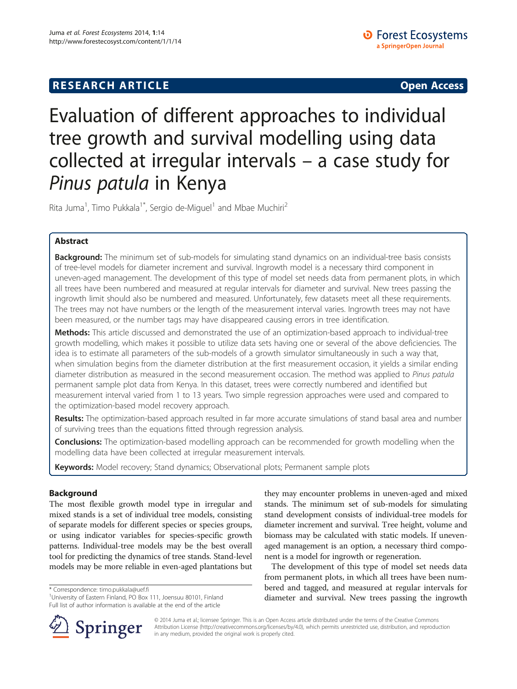# **RESEARCH ARTICLE Example 2014 CONSUMING A RESEARCH ARTICLE**

# Evaluation of different approaches to individual tree growth and survival modelling using data collected at irregular intervals – a case study for Pinus patula in Kenya

Rita Juma<sup>1</sup>, Timo Pukkala<sup>1\*</sup>, Sergio de-Miguel<sup>1</sup> and Mbae Muchiri<sup>2</sup>

# Abstract

Background: The minimum set of sub-models for simulating stand dynamics on an individual-tree basis consists of tree-level models for diameter increment and survival. Ingrowth model is a necessary third component in uneven-aged management. The development of this type of model set needs data from permanent plots, in which all trees have been numbered and measured at regular intervals for diameter and survival. New trees passing the ingrowth limit should also be numbered and measured. Unfortunately, few datasets meet all these requirements. The trees may not have numbers or the length of the measurement interval varies. Ingrowth trees may not have been measured, or the number tags may have disappeared causing errors in tree identification.

Methods: This article discussed and demonstrated the use of an optimization-based approach to individual-tree growth modelling, which makes it possible to utilize data sets having one or several of the above deficiencies. The idea is to estimate all parameters of the sub-models of a growth simulator simultaneously in such a way that, when simulation begins from the diameter distribution at the first measurement occasion, it yields a similar ending diameter distribution as measured in the second measurement occasion. The method was applied to Pinus patula permanent sample plot data from Kenya. In this dataset, trees were correctly numbered and identified but measurement interval varied from 1 to 13 years. Two simple regression approaches were used and compared to the optimization-based model recovery approach.

Results: The optimization-based approach resulted in far more accurate simulations of stand basal area and number of surviving trees than the equations fitted through regression analysis.

**Conclusions:** The optimization-based modelling approach can be recommended for growth modelling when the modelling data have been collected at irregular measurement intervals.

Keywords: Model recovery; Stand dynamics; Observational plots; Permanent sample plots

# Background

The most flexible growth model type in irregular and mixed stands is a set of individual tree models, consisting of separate models for different species or species groups, or using indicator variables for species-specific growth patterns. Individual-tree models may be the best overall tool for predicting the dynamics of tree stands. Stand-level models may be more reliable in even-aged plantations but

\* Correspondence: [timo.pukkala@uef.fi](mailto:timo.pukkala@uef.fi) <sup>1</sup>

University of Eastern Finland, PO Box 111, Joensuu 80101, Finland Full list of author information is available at the end of the article

they may encounter problems in uneven-aged and mixed stands. The minimum set of sub-models for simulating stand development consists of individual-tree models for diameter increment and survival. Tree height, volume and biomass may be calculated with static models. If unevenaged management is an option, a necessary third component is a model for ingrowth or regeneration.

The development of this type of model set needs data from permanent plots, in which all trees have been numbered and tagged, and measured at regular intervals for diameter and survival. New trees passing the ingrowth



© 2014 Juma et al.; licensee Springer. This is an Open Access article distributed under the terms of the Creative Commons Attribution License [\(http://creativecommons.org/licenses/by/4.0\)](http://creativecommons.org/licenses/by/4.0), which permits unrestricted use, distribution, and reproduction in any medium, provided the original work is properly cited.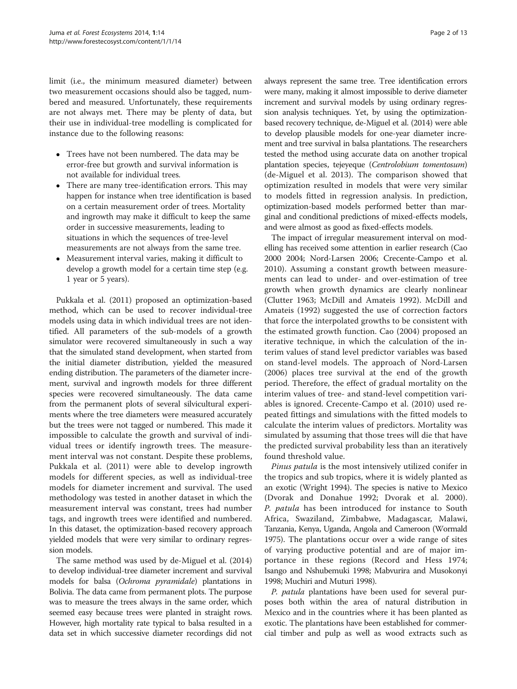limit (i.e., the minimum measured diameter) between two measurement occasions should also be tagged, numbered and measured. Unfortunately, these requirements are not always met. There may be plenty of data, but their use in individual-tree modelling is complicated for instance due to the following reasons:

- Trees have not been numbered. The data may be error-free but growth and survival information is not available for individual trees.
- There are many tree-identification errors. This may happen for instance when tree identification is based on a certain measurement order of trees. Mortality and ingrowth may make it difficult to keep the same order in successive measurements, leading to situations in which the sequences of tree-level measurements are not always from the same tree.
- Measurement interval varies, making it difficult to develop a growth model for a certain time step (e.g. 1 year or 5 years).

Pukkala et al. [\(2011\)](#page-11-0) proposed an optimization-based method, which can be used to recover individual-tree models using data in which individual trees are not identified. All parameters of the sub-models of a growth simulator were recovered simultaneously in such a way that the simulated stand development, when started from the initial diameter distribution, yielded the measured ending distribution. The parameters of the diameter increment, survival and ingrowth models for three different species were recovered simultaneously. The data came from the permanent plots of several silvicultural experiments where the tree diameters were measured accurately but the trees were not tagged or numbered. This made it impossible to calculate the growth and survival of individual trees or identify ingrowth trees. The measurement interval was not constant. Despite these problems, Pukkala et al. ([2011\)](#page-11-0) were able to develop ingrowth models for different species, as well as individual-tree models for diameter increment and survival. The used methodology was tested in another dataset in which the measurement interval was constant, trees had number tags, and ingrowth trees were identified and numbered. In this dataset, the optimization-based recovery approach yielded models that were very similar to ordinary regression models.

The same method was used by de-Miguel et al. ([2014](#page-11-0)) to develop individual-tree diameter increment and survival models for balsa (Ochroma pyramidale) plantations in Bolivia. The data came from permanent plots. The purpose was to measure the trees always in the same order, which seemed easy because trees were planted in straight rows. However, high mortality rate typical to balsa resulted in a data set in which successive diameter recordings did not

always represent the same tree. Tree identification errors were many, making it almost impossible to derive diameter increment and survival models by using ordinary regression analysis techniques. Yet, by using the optimizationbased recovery technique, de-Miguel et al. ([2014\)](#page-11-0) were able to develop plausible models for one-year diameter increment and tree survival in balsa plantations. The researchers tested the method using accurate data on another tropical plantation species, tejeyeque (Centrolobium tomentosum) (de-Miguel et al. [2013\)](#page-11-0). The comparison showed that optimization resulted in models that were very similar to models fitted in regression analysis. In prediction, optimization-based models performed better than mar-

ginal and conditional predictions of mixed-effects models,

and were almost as good as fixed-effects models. The impact of irregular measurement interval on modelling has received some attention in earlier research (Cao [2000 2004](#page-11-0); Nord-Larsen [2006;](#page-11-0) Crecente-Campo et al. [2010\)](#page-11-0). Assuming a constant growth between measurements can lead to under- and over-estimation of tree growth when growth dynamics are clearly nonlinear (Clutter [1963;](#page-11-0) McDill and Amateis [1992](#page-11-0)). McDill and Amateis ([1992\)](#page-11-0) suggested the use of correction factors that force the interpolated growths to be consistent with the estimated growth function. Cao [\(2004](#page-11-0)) proposed an iterative technique, in which the calculation of the interim values of stand level predictor variables was based on stand-level models. The approach of Nord-Larsen ([2006\)](#page-11-0) places tree survival at the end of the growth period. Therefore, the effect of gradual mortality on the interim values of tree- and stand-level competition variables is ignored. Crecente-Campo et al. ([2010\)](#page-11-0) used repeated fittings and simulations with the fitted models to calculate the interim values of predictors. Mortality was simulated by assuming that those trees will die that have the predicted survival probability less than an iteratively found threshold value.

Pinus patula is the most intensively utilized conifer in the tropics and sub tropics, where it is widely planted as an exotic (Wright [1994](#page-12-0)). The species is native to Mexico (Dvorak and Donahue [1992;](#page-11-0) Dvorak et al. [2000](#page-11-0)). P. patula has been introduced for instance to South Africa, Swaziland, Zimbabwe, Madagascar, Malawi, Tanzania, Kenya, Uganda, Angola and Cameroon (Wormald [1975](#page-12-0)). The plantations occur over a wide range of sites of varying productive potential and are of major importance in these regions (Record and Hess [1974](#page-11-0); Isango and Nshubemuki [1998](#page-11-0); Mabvurira and Musokonyi [1998;](#page-11-0) Muchiri and Muturi [1998](#page-11-0)).

P. *patula* plantations have been used for several purposes both within the area of natural distribution in Mexico and in the countries where it has been planted as exotic. The plantations have been established for commercial timber and pulp as well as wood extracts such as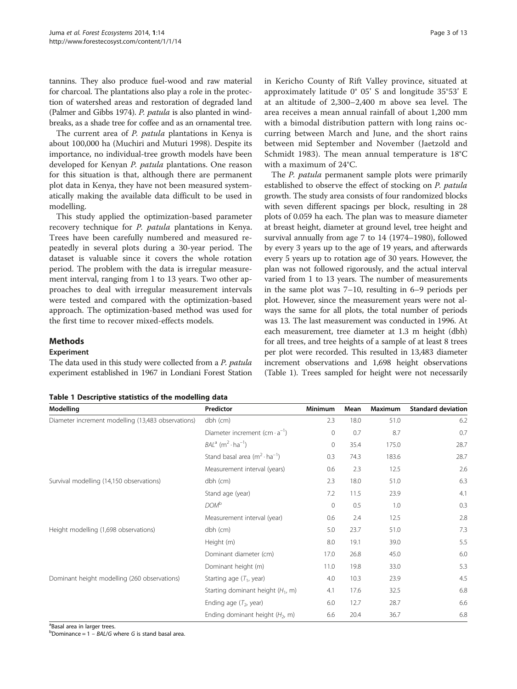tannins. They also produce fuel-wood and raw material for charcoal. The plantations also play a role in the protection of watershed areas and restoration of degraded land (Palmer and Gibbs [1974](#page-11-0)). P. patula is also planted in windbreaks, as a shade tree for coffee and as an ornamental tree.

The current area of *P. patula* plantations in Kenya is about 100,000 ha (Muchiri and Muturi [1998\)](#page-11-0). Despite its importance, no individual-tree growth models have been developed for Kenyan P. patula plantations. One reason for this situation is that, although there are permanent plot data in Kenya, they have not been measured systematically making the available data difficult to be used in modelling.

This study applied the optimization-based parameter recovery technique for P. patula plantations in Kenya. Trees have been carefully numbered and measured repeatedly in several plots during a 30-year period. The dataset is valuable since it covers the whole rotation period. The problem with the data is irregular measurement interval, ranging from 1 to 13 years. Two other approaches to deal with irregular measurement intervals were tested and compared with the optimization-based approach. The optimization-based method was used for the first time to recover mixed-effects models.

# **Methods**

# Experiment

The data used in this study were collected from a P. patula experiment established in 1967 in Londiani Forest Station

|  |  |  |  |  |  | Table 1 Descriptive statistics of the modelling data |  |
|--|--|--|--|--|--|------------------------------------------------------|--|
|--|--|--|--|--|--|------------------------------------------------------|--|

in Kericho County of Rift Valley province, situated at approximately latitude 0° 05' S and longitude 35°53' E at an altitude of 2,300–2,400 m above sea level. The area receives a mean annual rainfall of about 1,200 mm with a bimodal distribution pattern with long rains occurring between March and June, and the short rains between mid September and November (Jaetzold and Schmidt [1983\)](#page-11-0). The mean annual temperature is 18°C with a maximum of 24°C.

The P. patula permanent sample plots were primarily established to observe the effect of stocking on P. patula growth. The study area consists of four randomized blocks with seven different spacings per block, resulting in 28 plots of 0.059 ha each. The plan was to measure diameter at breast height, diameter at ground level, tree height and survival annually from age 7 to 14 (1974–1980), followed by every 3 years up to the age of 19 years, and afterwards every 5 years up to rotation age of 30 years. However, the plan was not followed rigorously, and the actual interval varied from 1 to 13 years. The number of measurements in the same plot was 7–10, resulting in 6–9 periods per plot. However, since the measurement years were not always the same for all plots, the total number of periods was 13. The last measurement was conducted in 1996. At each measurement, tree diameter at 1.3 m height (dbh) for all trees, and tree heights of a sample of at least 8 trees per plot were recorded. This resulted in 13,483 diameter increment observations and 1,698 height observations (Table 1). Trees sampled for height were not necessarily

| Modelling                                          | Predictor                                  | Minimum      | Mean | Maximum | <b>Standard deviation</b> |
|----------------------------------------------------|--------------------------------------------|--------------|------|---------|---------------------------|
| Diameter increment modelling (13,483 observations) | dbh (cm)                                   | 2.3          | 18.0 | 51.0    | 6.2                       |
|                                                    | Diameter increment $(cm \cdot a^{-1})$     | $\mathbf{0}$ | 0.7  | 8.7     | 0.7                       |
|                                                    | $BALa$ (m <sup>2</sup> ·ha <sup>-1</sup> ) | $\mathbf{0}$ | 35.4 | 175.0   | 28.7                      |
|                                                    | Stand basal area $(m^2 \cdot ha^{-1})$     | 0.3          | 74.3 | 183.6   | 28.7                      |
|                                                    | Measurement interval (years)               | 0.6          | 2.3  | 12.5    | 2.6                       |
| Survival modelling (14,150 observations)           | dbh (cm)                                   | 2.3          | 18.0 | 51.0    | 6.3                       |
|                                                    | Stand age (year)                           | 7.2          | 11.5 | 23.9    | 4.1                       |
|                                                    | DOM <sup>b</sup>                           | $\mathbf{0}$ | 0.5  | 1.0     | 0.3                       |
|                                                    | Measurement interval (year)                | 0.6          | 2.4  | 12.5    | 2.8                       |
| Height modelling (1,698 observations)              | dbh (cm)                                   | 5.0          | 23.7 | 51.0    | 7.3                       |
|                                                    | Height (m)                                 | 8.0          | 19.1 | 39.0    | 5.5                       |
|                                                    | Dominant diameter (cm)                     | 17.0         | 26.8 | 45.0    | 6.0                       |
|                                                    | Dominant height (m)                        | 11.0         | 19.8 | 33.0    | 5.3                       |
| Dominant height modelling (260 observations)       | Starting age $(T_1, \text{ year})$         | 4.0          | 10.3 | 23.9    | 4.5                       |
|                                                    | Starting dominant height $(H_1, m)$        | 4.1          | 17.6 | 32.5    | 6.8                       |
|                                                    | Ending age $(T_2, \gamma)$                 | 6.0          | 12.7 | 28.7    | 6.6                       |
|                                                    | Ending dominant height $(H_2, m)$          | 6.6          | 20.4 | 36.7    | 6.8                       |

<sup>a</sup>Basal area in larger trees.

 $b$ Dominance =  $1 - BAL/G$  where G is stand basal area.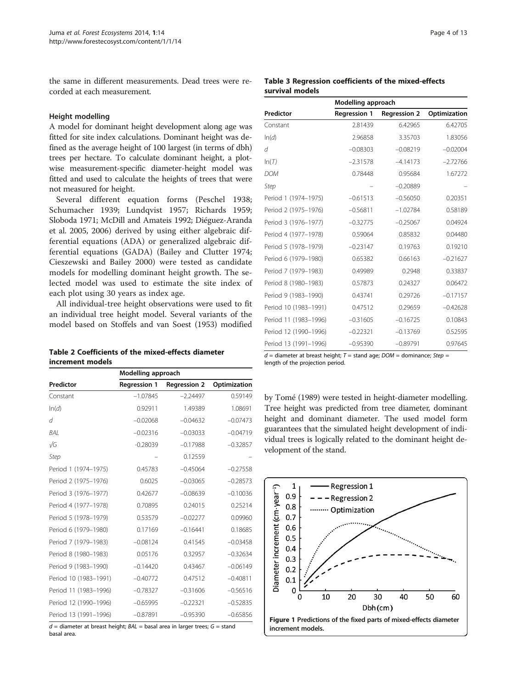<span id="page-3-0"></span>the same in different measurements. Dead trees were recorded at each measurement.

# Height modelling

A model for dominant height development along age was fitted for site index calculations. Dominant height was defined as the average height of 100 largest (in terms of dbh) trees per hectare. To calculate dominant height, a plotwise measurement-specific diameter-height model was fitted and used to calculate the heights of trees that were not measured for height.

Several different equation forms (Peschel [1938](#page-11-0); Schumacher [1939;](#page-11-0) Lundqvist [1957;](#page-11-0) Richards [1959](#page-11-0); Sloboda [1971;](#page-12-0) McDill and Amateis [1992](#page-11-0); Diéguez-Aranda et al. [2005, 2006](#page-11-0)) derived by using either algebraic differential equations (ADA) or generalized algebraic differential equations (GADA) (Bailey and Clutter [1974](#page-11-0); Cieszewski and Bailey [2000\)](#page-11-0) were tested as candidate models for modelling dominant height growth. The selected model was used to estimate the site index of each plot using 30 years as index age.

All individual-tree height observations were used to fit an individual tree height model. Several variants of the model based on Stoffels and van Soest ([1953](#page-12-0)) modified

| Table 2 Coefficients of the mixed-effects diameter |  |  |
|----------------------------------------------------|--|--|
| increment models                                   |  |  |

|                       | Modelling approach  |                     |              |  |  |  |
|-----------------------|---------------------|---------------------|--------------|--|--|--|
| Predictor             | <b>Regression 1</b> | <b>Regression 2</b> | Optimization |  |  |  |
| Constant              | $-1.07845$          | $-2.24497$          | 0.59149      |  |  |  |
| ln(d)                 | 0.92911             | 1.49389             | 1.08691      |  |  |  |
| d                     | $-0.02068$          | $-0.04632$          | $-0.07473$   |  |  |  |
| <b>BAI</b>            | $-0.02316$          | $-0.03033$          | $-0.04719$   |  |  |  |
| νG                    | $-0.28039$          | $-0.17988$          | $-0.32857$   |  |  |  |
| Step                  |                     | 0.12559             |              |  |  |  |
| Period 1 (1974-1975)  | 0.45783             | $-0.45064$          | $-0.27558$   |  |  |  |
| Period 2 (1975-1976)  | 0.6025              | $-0.03065$          | $-0.28573$   |  |  |  |
| Period 3 (1976-1977)  | 0.42677             | $-0.08639$          | $-0.10036$   |  |  |  |
| Period 4 (1977-1978)  | 0.70895             | 0.24015             | 0.25214      |  |  |  |
| Period 5 (1978-1979)  | 0.53579             | $-0.02277$          | 0.09960      |  |  |  |
| Period 6 (1979-1980)  | 0.17169             | $-0.16441$          | 0.18685      |  |  |  |
| Period 7 (1979-1983)  | $-0.08124$          | 0.41545             | $-0.03458$   |  |  |  |
| Period 8 (1980-1983)  | 0.05176             | 0.32957             | $-0.32634$   |  |  |  |
| Period 9 (1983-1990)  | $-0.14420$          | 0.43467             | $-0.06149$   |  |  |  |
| Period 10 (1983-1991) | $-0.40772$          | 0.47512             | $-0.40811$   |  |  |  |
| Period 11 (1983-1996) | $-0.78327$          | $-0.31606$          | $-0.56516$   |  |  |  |
| Period 12 (1990-1996) | $-0.65995$          | $-0.22321$          | $-0.52835$   |  |  |  |
| Period 13 (1991-1996) | $-0.87891$          | $-0.95390$          | $-0.65856$   |  |  |  |

 $d =$  diameter at breast height;  $BAL =$  basal area in larger trees;  $G =$  stand basal area.

|                       | Modelling approach  |                     |              |  |  |  |
|-----------------------|---------------------|---------------------|--------------|--|--|--|
| Predictor             | <b>Regression 1</b> | <b>Regression 2</b> | Optimization |  |  |  |
| Constant              | 2.81439             | 6.42965             | 6.42705      |  |  |  |
| ln(d)                 | 2.96858             | 3.35703             | 1.83056      |  |  |  |
| d                     | $-0.08303$          | $-0.08219$          | $-0.02004$   |  |  |  |
| ln(T)                 | $-2.31578$          | $-4.14173$          | $-2.72766$   |  |  |  |
| <b>DOM</b>            | 0.78448             | 0.95684             | 1.67272      |  |  |  |
| Step                  |                     | $-0.20889$          |              |  |  |  |
| Period 1 (1974-1975)  | $-0.61513$          | $-0.56050$          | 0.20351      |  |  |  |
| Period 2 (1975-1976)  | $-0.56811$          | $-1.02784$          | 0.58189      |  |  |  |
| Period 3 (1976-1977)  | $-0.32775$          | $-0.25067$          | 0.04924      |  |  |  |
| Period 4 (1977-1978)  | 0.59064             | 0.85832             | 0.04480      |  |  |  |
| Period 5 (1978-1979)  | $-0.23147$          | 0.19763             | 0.19210      |  |  |  |
| Period 6 (1979-1980)  | 0.65382             | 0.66163             | $-0.21627$   |  |  |  |
| Period 7 (1979-1983)  | 0.49989             | 0.2948              | 0.33837      |  |  |  |
| Period 8 (1980-1983)  | 0.57873             | 0.24327             | 0.06472      |  |  |  |
| Period 9 (1983-1990)  | 0.43741             | 0.29726             | $-0.17157$   |  |  |  |
| Period 10 (1983-1991) | 0.47512             | 0.29659             | $-0.42628$   |  |  |  |
| Period 11 (1983-1996) | $-0.31605$          | $-0.16725$          | 0.10843      |  |  |  |
| Period 12 (1990-1996) | $-0.22321$          | $-0.13769$          | 0.52595      |  |  |  |
| Period 13 (1991-1996) | $-0.95390$          | $-0.89791$          | 0.97645      |  |  |  |

 $d =$  diameter at breast height; T = stand age; DOM = dominance; Step = length of the projection period.

by Tomé ([1989\)](#page-12-0) were tested in height-diameter modelling. Tree height was predicted from tree diameter, dominant height and dominant diameter. The used model form guarantees that the simulated height development of individual trees is logically related to the dominant height development of the stand.



increment models.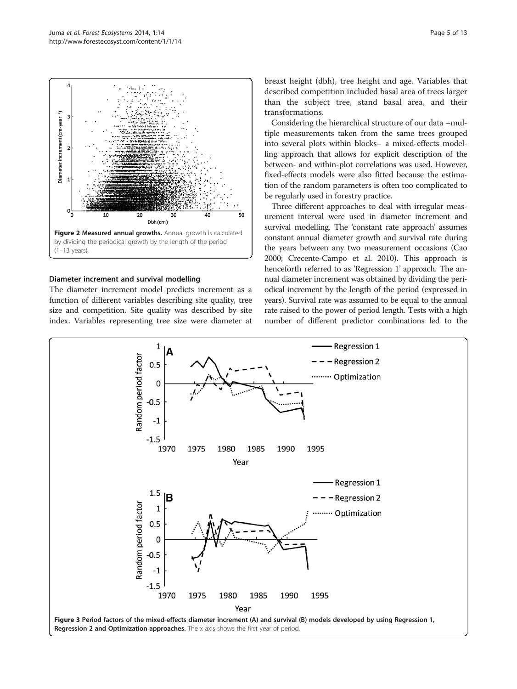<span id="page-4-0"></span>

# Diameter increment and survival modelling

The diameter increment model predicts increment as a function of different variables describing site quality, tree size and competition. Site quality was described by site index. Variables representing tree size were diameter at breast height (dbh), tree height and age. Variables that described competition included basal area of trees larger than the subject tree, stand basal area, and their transformations.

Considering the hierarchical structure of our data –multiple measurements taken from the same trees grouped into several plots within blocks– a mixed-effects modelling approach that allows for explicit description of the between- and within-plot correlations was used. However, fixed-effects models were also fitted because the estimation of the random parameters is often too complicated to be regularly used in forestry practice.

Three different approaches to deal with irregular measurement interval were used in diameter increment and survival modelling. The 'constant rate approach' assumes constant annual diameter growth and survival rate during the years between any two measurement occasions (Cao [2000;](#page-11-0) Crecente-Campo et al. [2010\)](#page-11-0). This approach is henceforth referred to as 'Regression 1' approach. The annual diameter increment was obtained by dividing the periodical increment by the length of the period (expressed in years). Survival rate was assumed to be equal to the annual rate raised to the power of period length. Tests with a high number of different predictor combinations led to the

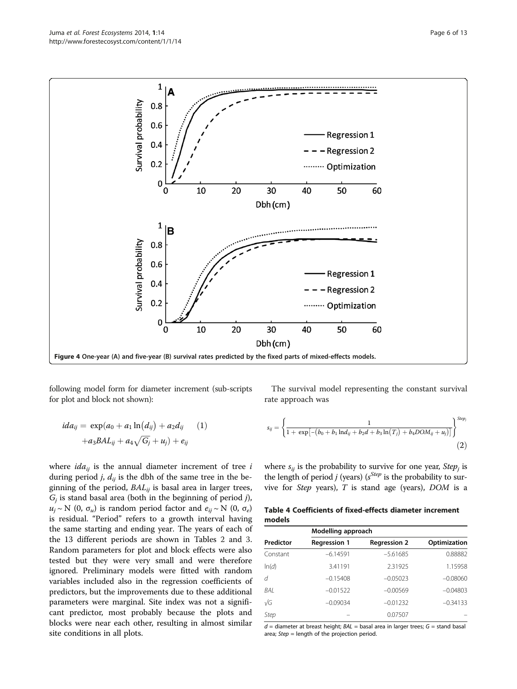<span id="page-5-0"></span>

following model form for diameter increment (sub-scripts for plot and block not shown):

 $ida_{ii} = \exp(a_0 + a_1 \ln(d_{ii}) + a_2 d_{ii})$  $+a_3 B A L_{ij} + a_4 \sqrt{G_j} + u_j) + e_{ij}$  $(1)$ 

where  $ida_{ij}$  is the annual diameter increment of tree i during period *j*,  $d_{ij}$  is the dbh of the same tree in the beginning of the period,  $BAL_{ij}$  is basal area in larger trees,  $G_j$  is stand basal area (both in the beginning of period j),  $u_i \sim N$  (0,  $\sigma_u$ ) is random period factor and  $e_{ii} \sim N$  (0,  $\sigma_e$ ) is residual. "Period" refers to a growth interval having the same starting and ending year. The years of each of the 13 different periods are shown in Tables [2](#page-3-0) and [3](#page-3-0). Random parameters for plot and block effects were also tested but they were very small and were therefore ignored. Preliminary models were fitted with random variables included also in the regression coefficients of predictors, but the improvements due to these additional parameters were marginal. Site index was not a significant predictor, most probably because the plots and blocks were near each other, resulting in almost similar site conditions in all plots.

The survival model representing the constant survival rate approach was

$$
s_{ij} = \left\{ \frac{1}{1 + \exp[-(b_0 + b_1 \ln d_{ij} + b_2 d + b_3 \ln(T_j) + b_4 DOM_{ij} + u_j)]} \right\}^{Step} \tag{2}
$$

where  $s_{ii}$  is the probability to survive for one year, *Step<sub>i</sub>* is the length of period j (years) ( $s^{Step}$  is the probability to survive for Step years),  $T$  is stand age (years),  $DOM$  is a

Table 4 Coefficients of fixed-effects diameter increment models

|            | Modelling approach  |                     |              |  |
|------------|---------------------|---------------------|--------------|--|
| Predictor  | <b>Regression 1</b> | <b>Regression 2</b> | Optimization |  |
| Constant   | $-6.14591$          | $-5.61685$          | 0.88882      |  |
| ln(d)      | 3.41191             | 2.31925             | 1.15958      |  |
| d          | $-0.15408$          | $-0.05023$          | $-0.08060$   |  |
| BAI.       | $-0.01522$          | $-0.00569$          | $-0.04803$   |  |
| $\sqrt{G}$ | $-0.09034$          | $-0.01232$          | $-0.34133$   |  |
| Step       |                     | 0.07507             |              |  |

 $d =$  diameter at breast height;  $BAL =$  basal area in larger trees;  $G =$  stand basal area; Step = length of the projection period.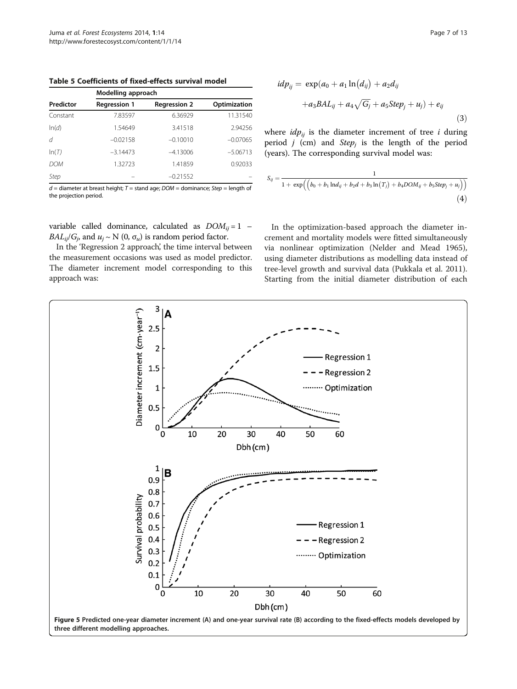<span id="page-6-0"></span>Table 5 Coefficients of fixed-effects survival model

|            | Modelling approach  |                     |              |
|------------|---------------------|---------------------|--------------|
| Predictor  | <b>Regression 1</b> | <b>Regression 2</b> | Optimization |
| Constant   | 7.83597             | 6.36929             | 11.31540     |
| ln(d)      | 1.54649             | 3.41518             | 2.94256      |
| d          | $-0.02158$          | $-0.10010$          | $-0.07065$   |
| ln(T)      | $-3.14473$          | $-4.13006$          | $-5.06713$   |
| <b>DOM</b> | 1.32723             | 1.41859             | 0.92033      |
| Step       |                     | $-0.21552$          |              |

 $d =$  diameter at breast height; T = stand age; DOM = dominance; Step = length of the projection period.

variable called dominance, calculated as  $DOM_{ii} = 1$  –  $BAL_{ij}/G_j$ , and  $u_j \sim N(0, \sigma_u)$  is random period factor.

In the 'Regression 2 approach', the time interval between the measurement occasions was used as model predictor. The diameter increment model corresponding to this approach was:

$$
idp_{ij} = \exp(a_0 + a_1 \ln(d_{ij}) + a_2 d_{ij}
$$

$$
+ a_3 B A L_{ij} + a_4 \sqrt{G_j} + a_5 Step_j + u_j) + e_{ij}
$$

$$
\tag{3}
$$

where  $idp_{ii}$  is the diameter increment of tree *i* during period  $j$  (cm) and *Step<sub>i</sub>* is the length of the period (years). The corresponding survival model was:

$$
S_{ij} = \frac{1}{1 + \exp((b_0 + b_1 \ln d_{ij} + b_2 d + b_3 \ln(T_j) + b_4 DOM_{ij} + b_5Step_j + u_j))}
$$
\n
$$
\tag{4}
$$

In the optimization-based approach the diameter increment and mortality models were fitted simultaneously via nonlinear optimization (Nelder and Mead [1965](#page-11-0)), using diameter distributions as modelling data instead of tree-level growth and survival data (Pukkala et al. [2011](#page-11-0)). Starting from the initial diameter distribution of each



three different modelling approaches.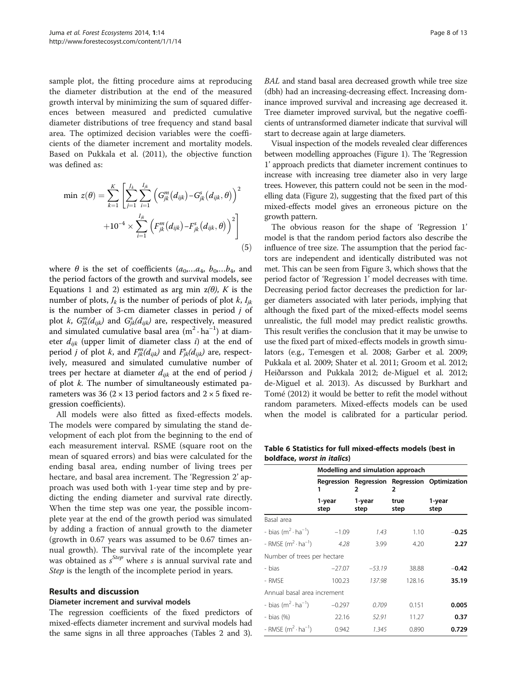<span id="page-7-0"></span>sample plot, the fitting procedure aims at reproducing the diameter distribution at the end of the measured growth interval by minimizing the sum of squared differences between measured and predicted cumulative diameter distributions of tree frequency and stand basal area. The optimized decision variables were the coefficients of the diameter increment and mortality models. Based on Pukkala et al. [\(2011](#page-11-0)), the objective function was defined as:

$$
\min z(\theta) = \sum_{k=1}^{K} \left[ \sum_{j=1}^{J_k} \sum_{i=1}^{J_{jk}} \left( G_{jk}^{m}(d_{ijk}) - G_{jk}^{s}(d_{ijk}, \theta) \right)^2 + 10^{-4} \times \sum_{i=1}^{J_{jk}} \left( F_{jk}^{m}(d_{ijk}) - F_{jk}^{s}(d_{ijk}, \theta) \right)^2 \right]
$$
\n(5)

where  $\theta$  is the set of coefficients ( $a_0$ ,... $a_4$ ,  $b_0$ ,... $b_4$ , and the period factors of the growth and survival models, see Equations [1](#page-5-0) and [2\)](#page-5-0) estimated as arg min  $z(\theta)$ , K is the number of plots,  $J_k$  is the number of periods of plot  $k$ ,  $I_{ik}$ is the number of 3-cm diameter classes in period  $j$  of plot *k*,  $G_{jk}^{m}(d_{ijk})$  and  $G_{jk}^{s}(d_{ijk})$  are, respectively, measured and simulated cumulative basal area  $(m^2 \cdot ha^{-1})$  at diameter  $d_{ijk}$  (upper limit of diameter class i) at the end of period j of plot k, and  $F_{ik}^{m}(d_{ijk})$  and  $F_{ik}^{s}(d_{ijk})$  are, respectively, measured and simulated cumulative number of trees per hectare at diameter  $d_{ijk}$  at the end of period j of plot k. The number of simultaneously estimated parameters was 36 ( $2 \times 13$  period factors and  $2 \times 5$  fixed regression coefficients).

All models were also fitted as fixed-effects models. The models were compared by simulating the stand development of each plot from the beginning to the end of each measurement interval. RSME (square root on the mean of squared errors) and bias were calculated for the ending basal area, ending number of living trees per hectare, and basal area increment. The 'Regression 2' approach was used both with 1-year time step and by predicting the ending diameter and survival rate directly. When the time step was one year, the possible incomplete year at the end of the growth period was simulated by adding a fraction of annual growth to the diameter (growth in 0.67 years was assumed to be 0.67 times annual growth). The survival rate of the incomplete year was obtained as  $s^{Step}$  where s is annual survival rate and Step is the length of the incomplete period in years.

# Results and discussion

# Diameter increment and survival models

The regression coefficients of the fixed predictors of mixed-effects diameter increment and survival models had the same signs in all three approaches (Tables [2](#page-3-0) and [3](#page-3-0)). BAL and stand basal area decreased growth while tree size (dbh) had an increasing-decreasing effect. Increasing dominance improved survival and increasing age decreased it. Tree diameter improved survival, but the negative coefficients of untransformed diameter indicate that survival will start to decrease again at large diameters.

Visual inspection of the models revealed clear differences between modelling approaches (Figure [1\)](#page-3-0). The 'Regression 1' approach predicts that diameter increment continues to increase with increasing tree diameter also in very large trees. However, this pattern could not be seen in the modelling data (Figure [2\)](#page-4-0), suggesting that the fixed part of this mixed-effects model gives an erroneous picture on the growth pattern.

The obvious reason for the shape of 'Regression 1' model is that the random period factors also describe the influence of tree size. The assumption that the period factors are independent and identically distributed was not met. This can be seen from Figure [3](#page-4-0), which shows that the period factor of 'Regression 1' model decreases with time. Decreasing period factor decreases the prediction for larger diameters associated with later periods, implying that although the fixed part of the mixed-effects model seems unrealistic, the full model may predict realistic growths. This result verifies the conclusion that it may be unwise to use the fixed part of mixed-effects models in growth simulators (e.g., Temesgen et al. [2008;](#page-12-0) Garber et al. [2009](#page-11-0); Pukkala et al. [2009](#page-11-0); Shater et al. [2011](#page-12-0); Groom et al. [2012](#page-11-0); Heiðarsson and Pukkala [2012](#page-11-0); de-Miguel et al. [2012](#page-11-0); de-Miguel et al. [2013\)](#page-11-0). As discussed by Burkhart and Tomé ([2012\)](#page-11-0) it would be better to refit the model without random parameters. Mixed-effects models can be used when the model is calibrated for a particular period.

Table 6 Statistics for full mixed-effects models (best in boldface, worst in italics)

|                                            | Modelling and simulation approach |                |              |                                               |  |  |
|--------------------------------------------|-----------------------------------|----------------|--------------|-----------------------------------------------|--|--|
|                                            | 1                                 | 2              | 2            | Regression Regression Regression Optimization |  |  |
|                                            | 1-year<br>step                    | 1-year<br>step | true<br>step | 1-year<br>step                                |  |  |
| Basal area                                 |                                   |                |              |                                               |  |  |
| - bias $(m^2 \cdot ha^{-1})$               | $-1.09$                           | 1.43           | 1.10         | $-0.25$                                       |  |  |
| - RMSE $(m^2 \cdot ha^{-1})$               | 4.28                              | 3.99           | 4.20         | 2.27                                          |  |  |
| Number of trees per hectare                |                                   |                |              |                                               |  |  |
| - bias                                     | $-27.07$                          | $-53.19$       | 38.88        | $-0.42$                                       |  |  |
| - RMSF                                     | 100.23                            | 137.98         | 128.16       | 35.19                                         |  |  |
| Annual basal area increment                |                                   |                |              |                                               |  |  |
| - bias (m <sup>2</sup> ·ha <sup>-1</sup> ) | $-0.297$                          | 0.709          | 0.151        | 0.005                                         |  |  |
| - bias (%)                                 | 22.16                             | 52.91          | 11.27        | 0.37                                          |  |  |
| - RMSE $(m^2 \cdot ha^{-1})$               | 0.942                             | 1.345          | 0.890        | 0.729                                         |  |  |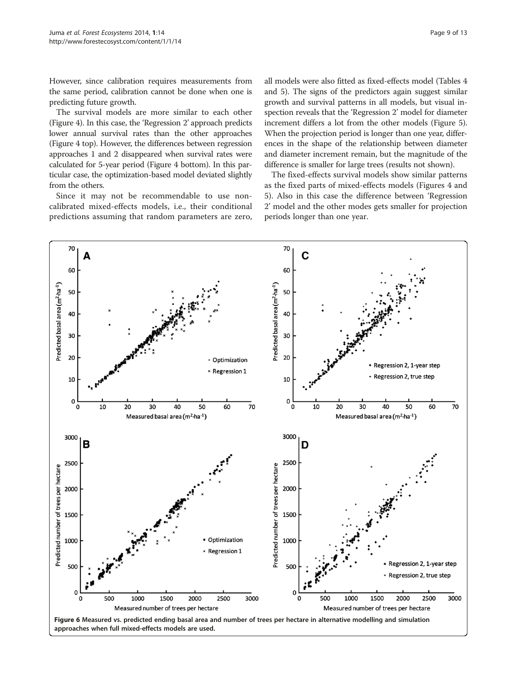<span id="page-8-0"></span>However, since calibration requires measurements from the same period, calibration cannot be done when one is predicting future growth.

The survival models are more similar to each other (Figure [4](#page-5-0)). In this case, the 'Regression 2' approach predicts lower annual survival rates than the other approaches (Figure [4](#page-5-0) top). However, the differences between regression approaches 1 and 2 disappeared when survival rates were calculated for 5-year period (Figure [4](#page-5-0) bottom). In this particular case, the optimization-based model deviated slightly from the others.

Since it may not be recommendable to use noncalibrated mixed-effects models, i.e., their conditional predictions assuming that random parameters are zero,

all models were also fitted as fixed-effects model (Tables [4](#page-5-0) and [5](#page-6-0)). The signs of the predictors again suggest similar growth and survival patterns in all models, but visual inspection reveals that the 'Regression 2' model for diameter increment differs a lot from the other models (Figure [5](#page-6-0)). When the projection period is longer than one year, differences in the shape of the relationship between diameter and diameter increment remain, but the magnitude of the difference is smaller for large trees (results not shown).

The fixed-effects survival models show similar patterns as the fixed parts of mixed-effects models (Figures [4](#page-5-0) and [5\)](#page-6-0). Also in this case the difference between 'Regression 2' model and the other modes gets smaller for projection periods longer than one year.

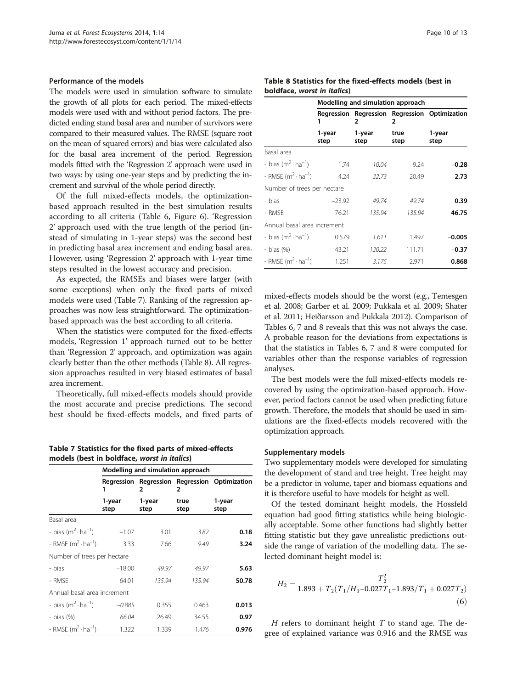## Performance of the models

The models were used in simulation software to simulate the growth of all plots for each period. The mixed-effects models were used with and without period factors. The predicted ending stand basal area and number of survivors were compared to their measured values. The RMSE (square root on the mean of squared errors) and bias were calculated also for the basal area increment of the period. Regression models fitted with the 'Regression 2' approach were used in two ways: by using one-year steps and by predicting the increment and survival of the whole period directly.

Of the full mixed-effects models, the optimizationbased approach resulted in the best simulation results according to all criteria (Table [6](#page-7-0), Figure [6](#page-8-0)). 'Regression 2' approach used with the true length of the period (instead of simulating in 1-year steps) was the second best in predicting basal area increment and ending basal area. However, using 'Regression 2' approach with 1-year time steps resulted in the lowest accuracy and precision.

As expected, the RMSEs and biases were larger (with some exceptions) when only the fixed parts of mixed models were used (Table 7). Ranking of the regression approaches was now less straightforward. The optimizationbased approach was the best according to all criteria.

When the statistics were computed for the fixed-effects models, 'Regression 1' approach turned out to be better than 'Regression 2' approach, and optimization was again clearly better than the other methods (Table 8). All regression approaches resulted in very biased estimates of basal area increment.

Theoretically, full mixed-effects models should provide the most accurate and precise predictions. The second best should be fixed-effects models, and fixed parts of

Table 7 Statistics for the fixed parts of mixed-effects models (best in boldface, worst in italics)

|                              |                | Modelling and simulation approach |              |                                               |  |  |
|------------------------------|----------------|-----------------------------------|--------------|-----------------------------------------------|--|--|
|                              | 1              | 2                                 | 2            | Regression Regression Regression Optimization |  |  |
|                              | 1-year<br>step | 1-year<br>step                    | true<br>step | 1-year<br>step                                |  |  |
| Basal area                   |                |                                   |              |                                               |  |  |
| - bias $(m^2 \cdot ha^{-1})$ | $-1.07$        | 3.01                              | 3.82         | 0.18                                          |  |  |
| - RMSE $(m^2 \cdot ha^{-1})$ | 3.33           | 7.66                              | 9.49         | 3.24                                          |  |  |
| Number of trees per hectare  |                |                                   |              |                                               |  |  |
| - bias                       | $-18.00$       | 49.97                             | 49.97        | 5.63                                          |  |  |
| - RMSF                       | 64.01          | 135.94                            | 135.94       | 50.78                                         |  |  |
| Annual basal area increment  |                |                                   |              |                                               |  |  |
| - bias $(m^2 \cdot ha^{-1})$ | $-0.885$       | 0.355                             | 0.463        | 0.013                                         |  |  |
| - bias (%)                   | 66.04          | 26.49                             | 34.55        | 0.97                                          |  |  |
| - RMSE $(m^2 \cdot ha^{-1})$ | 1.322          | 1.339                             | 1.476        | 0.976                                         |  |  |

Table 8 Statistics for the fixed-effects models (best in boldface, worst in italics)

|                              | Modelling and simulation approach |                |              |                                               |  |  |
|------------------------------|-----------------------------------|----------------|--------------|-----------------------------------------------|--|--|
|                              | 1                                 | 2              | 2            | Regression Regression Regression Optimization |  |  |
|                              | 1-year<br>step                    | 1-year<br>step | true<br>step | 1-year<br>step                                |  |  |
| Basal area                   |                                   |                |              |                                               |  |  |
| - bias $(m^2 \cdot ha^{-1})$ | 1.74                              | 10.04          | 9.24         | $-0.28$                                       |  |  |
| - RMSE $(m^2 \cdot ha^{-1})$ | 4.24                              | 22.73          | 20.49        | 2.73                                          |  |  |
| Number of trees per hectare  |                                   |                |              |                                               |  |  |
| - bias                       | $-23.92$                          | 49.74          | 49.74        | 0.39                                          |  |  |
| - RMSE                       | 76.21                             | 135.94         | 135.94       | 46.75                                         |  |  |
| Annual basal area increment  |                                   |                |              |                                               |  |  |
| - bias $(m^2 \cdot ha^{-1})$ | 0.579                             | 1.611          | 1.497        | $-0.005$                                      |  |  |
| - bias (%)                   | 43.21                             | 120.22         | 111.71       | $-0.37$                                       |  |  |
| - RMSE $(m^2 \cdot ha^{-1})$ | 1.251                             | 3.175          | 2.971        | 0.868                                         |  |  |

mixed-effects models should be the worst (e.g., Temesgen et al. [2008;](#page-12-0) Garber et al. [2009;](#page-11-0) Pukkala et al. [2009;](#page-11-0) Shater et al. [2011](#page-12-0); Heiðarsson and Pukkala [2012](#page-11-0)). Comparison of Tables [6,](#page-7-0) 7 and 8 reveals that this was not always the case. A probable reason for the deviations from expectations is that the statistics in Tables [6](#page-7-0), 7 and 8 were computed for variables other than the response variables of regression analyses.

The best models were the full mixed-effects models recovered by using the optimization-based approach. However, period factors cannot be used when predicting future growth. Therefore, the models that should be used in simulations are the fixed-effects models recovered with the optimization approach.

## Supplementary models

Two supplementary models were developed for simulating the development of stand and tree height. Tree height may be a predictor in volume, taper and biomass equations and it is therefore useful to have models for height as well.

Of the tested dominant height models, the Hossfeld equation had good fitting statistics while being biologically acceptable. Some other functions had slightly better fitting statistic but they gave unrealistic predictions outside the range of variation of the modelling data. The selected dominant height model is:

$$
H_2 = \frac{T_2^2}{1.893 + T_2(T_1/H_1 - 0.027T_1 - 1.893/T_1 + 0.027T_2)}
$$
\n(6)

H refers to dominant height  $T$  to stand age. The degree of explained variance was 0.916 and the RMSE was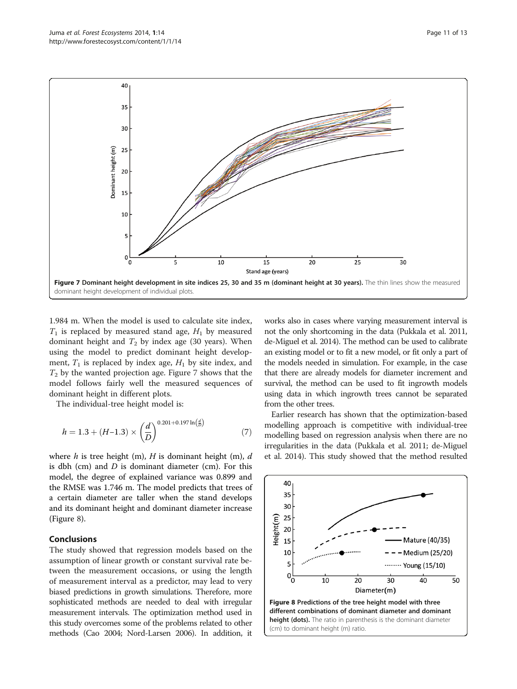

1.984 m. When the model is used to calculate site index,  $T_1$  is replaced by measured stand age,  $H_1$  by measured dominant height and  $T_2$  by index age (30 years). When using the model to predict dominant height development,  $T_1$  is replaced by index age,  $H_1$  by site index, and  $T_2$  by the wanted projection age. Figure 7 shows that the model follows fairly well the measured sequences of dominant height in different plots.

The individual-tree height model is:

$$
h = 1.3 + (H - 1.3) \times \left(\frac{d}{D}\right)^{0.201 + 0.197 \ln\left(\frac{d}{D}\right)}\tag{7}
$$

where h is tree height (m), H is dominant height (m), d is dbh (cm) and  $D$  is dominant diameter (cm). For this model, the degree of explained variance was 0.899 and the RMSE was 1.746 m. The model predicts that trees of a certain diameter are taller when the stand develops and its dominant height and dominant diameter increase (Figure 8).

# **Conclusions**

The study showed that regression models based on the assumption of linear growth or constant survival rate between the measurement occasions, or using the length of measurement interval as a predictor, may lead to very biased predictions in growth simulations. Therefore, more sophisticated methods are needed to deal with irregular measurement intervals. The optimization method used in this study overcomes some of the problems related to other methods (Cao [2004;](#page-11-0) Nord-Larsen [2006](#page-11-0)). In addition, it works also in cases where varying measurement interval is not the only shortcoming in the data (Pukkala et al. [2011](#page-11-0), de-Miguel et al. [2014](#page-11-0)). The method can be used to calibrate an existing model or to fit a new model, or fit only a part of the models needed in simulation. For example, in the case that there are already models for diameter increment and survival, the method can be used to fit ingrowth models using data in which ingrowth trees cannot be separated from the other trees.

Earlier research has shown that the optimization-based modelling approach is competitive with individual-tree modelling based on regression analysis when there are no irregularities in the data (Pukkala et al. [2011](#page-11-0); de-Miguel et al. [2014\)](#page-11-0). This study showed that the method resulted

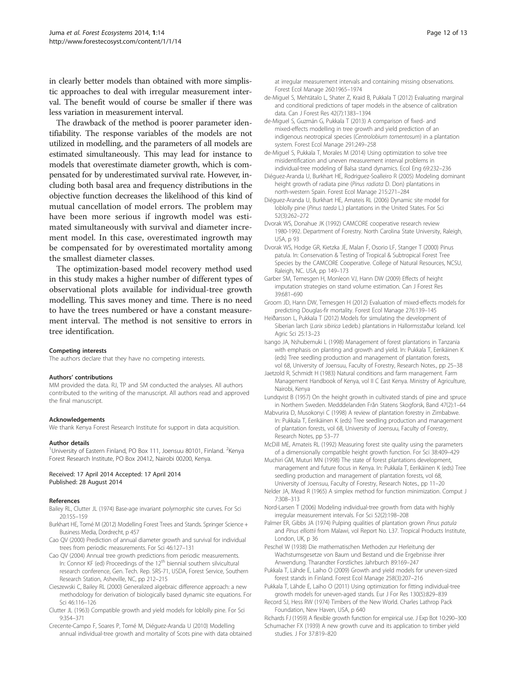<span id="page-11-0"></span>in clearly better models than obtained with more simplistic approaches to deal with irregular measurement interval. The benefit would of course be smaller if there was less variation in measurement interval.

The drawback of the method is poorer parameter identifiability. The response variables of the models are not utilized in modelling, and the parameters of all models are estimated simultaneously. This may lead for instance to models that overestimate diameter growth, which is compensated for by underestimated survival rate. However, including both basal area and frequency distributions in the objective function decreases the likelihood of this kind of mutual cancellation of model errors. The problem may have been more serious if ingrowth model was estimated simultaneously with survival and diameter increment model. In this case, overestimated ingrowth may be compensated for by overestimated mortality among the smallest diameter classes.

The optimization-based model recovery method used in this study makes a higher number of different types of observational plots available for individual-tree growth modelling. This saves money and time. There is no need to have the trees numbered or have a constant measurement interval. The method is not sensitive to errors in tree identification.

#### Competing interests

The authors declare that they have no competing interests.

#### Authors' contributions

MM provided the data. RJ, TP and SM conducted the analyses. All authors contributed to the writing of the manuscript. All authors read and approved the final manuscript.

#### Acknowledgements

We thank Kenya Forest Research Institute for support in data acquisition.

#### Author details

<sup>1</sup>University of Eastern Finland, PO Box 111, Joensuu 80101, Finland. <sup>2</sup>Kenya Forest Research Institute, PO Box 20412, Nairobi 00200, Kenya.

#### Received: 17 April 2014 Accepted: 17 April 2014 Published: 28 August 2014

#### References

- Bailey RL, Clutter JL (1974) Base-age invariant polymorphic site curves. For Sci 20:155–159
- Burkhart HE, Tomé M (2012) Modelling Forest Trees and Stands. Springer Science + Business Media, Dordrecht, p 457
- Cao QV (2000) Prediction of annual diameter growth and survival for individual trees from periodic measurements. For Sci 46:127–131
- Cao QV (2004) Annual tree growth predictions from periodic measurements. In: Connor KF (ed) Proceedings of the 12<sup>th</sup> biennial southern silvicultural research conference, Gen. Tech. Rep. SRS-71, USDA, Forest Service, Southern Research Station, Asheville, NC, pp 212–215
- Cieszewski C, Bailey RL (2000) Generalized algebraic difference approach: a new methodology for derivation of biologically based dynamic site equations. For Sci 46:116–126
- Clutter JL (1963) Compatible growth and yield models for loblolly pine. For Sci 9:354–371
- Crecente-Campo F, Soares P, Tomé M, Diéguez-Aranda U (2010) Modelling annual individual-tree growth and mortality of Scots pine with data obtained

at irregular measurement intervals and containing missing observations. Forest Ecol Manage 260:1965–1974

- de-Miguel S, Mehtätalo L, Shater Z, Kraid B, Pukkala T (2012) Evaluating marginal and conditional predictions of taper models in the absence of calibration data. Can J Forest Res 42(7):1383–1394
- de-Miguel S, Guzmán G, Pukkala T (2013) A comparison of fixed- and mixed-effects modelling in tree growth and yield prediction of an indigenous neotropical species (Centrolobium tomentosum) in a plantation system. Forest Ecol Manage 291:249–258
- de-Miguel S, Pukkala T, Morales M (2014) Using optimization to solve tree misidentification and uneven measurement interval problems in individual-tree modeling of Balsa stand dynamics. Ecol Eng 69:232–236
- Diéguez-Aranda U, Burkhart HE, Rodriguez-Soalleiro R (2005) Modeling dominant height growth of radiata pine (Pinus radiata D. Don) plantations in north-western Spain. Forest Ecol Manage 215:271–284
- Diéguez-Aranda U, Burkhart HE, Amateis RL (2006) Dynamic site model for loblolly pine (Pinus taeda L.) plantations in the United States. For Sci 52(3):262–272
- Dvorak WS, Donahue JK (1992) CAMCORE cooperative research review 1980-1992. Department of Forestry. North Carolina State University, Raleigh, USA, p 93
- Dvorak WS, Hodge GR, Kietzka JE, Malan F, Osorio LF, Stanger T (2000) Pinus patula. In: Conservation & Testing of Tropical & Subtropical Forest Tree Species by the CAMCORE Cooperative. College of Natural Resources, NCSU, Raleigh, NC. USA, pp 149–173
- Garber SM, Temesgen H, Monleon VJ, Hann DW (2009) Effects of height imputation strategies on stand volume estimation. Can J Forest Res 39:681–690
- Groom JD, Hann DW, Temesgen H (2012) Evaluation of mixed-effects models for predicting Douglas-fir mortality. Forest Ecol Manage 276:139–145
- Heiðarsson L, Pukkala T (2012) Models for simulating the development of Siberian larch (Larix sibirica Ledeb.) plantations in Hallormsstaður Iceland. Icel Agric Sci 25:13–23
- Isango JA, Nshubemuki L (1998) Management of forest plantations in Tanzania with emphasis on planting and growth and yield. In: Pukkala T, Eerikäinen K (eds) Tree seedling production and management of plantation forests, vol 68, University of Joensuu, Faculty of Forestry, Research Notes., pp 25–38
- Jaetzold R, Schmidt H (1983) Natural conditions and farm management. Farm Management Handbook of Kenya, vol II C East Kenya. Ministry of Agriculture, Nairobi, Kenya
- Lundqvist B (1957) On the height growth in cultivated stands of pine and spruce in Northern Sweden. Medddelanden Från Statens Skogforsk, Band 47(2):1–64
- Mabvurira D, Musokonyi C (1998) A review of plantation forestry in Zimbabwe. In: Pukkala T, Eerikäinen K (eds) Tree seedling production and management of plantation forests, vol 68, University of Joensuu, Faculty of Forestry, Research Notes, pp 53–77
- McDill ME, Amateis RL (1992) Measuring forest site quality using the parameters of a dimensionally compatible height growth function. For Sci 38:409–429
- Muchiri GM, Muturi MN (1998) The state of forest plantations development, management and future focus in Kenya. In: Pukkala T, Eerikäinen K (eds) Tree seedling production and management of plantation forests, vol 68, University of Joensuu, Faculty of Forestry, Research Notes., pp 11–20
- Nelder JA, Mead R (1965) A simplex method for function minimization. Comput J 7:308–313
- Nord-Larsen T (2006) Modeling individual-tree growth from data with highly irregular measurement intervals. For Sci 52(2):198–208
- Palmer ER, Gibbs JA (1974) Pulping qualities of plantation grown Pinus patula and Pinus elliottii from Malawi, vol Report No. L37. Tropical Products Institute, London, UK, p 36
- Peschel W (1938) Die mathematischen Methoden zur Herleitung der Wachstumsgesetze von Baum und Bestand und die Ergebnisse ihrer Anwendung. Tharandter Forstliches Jahrburch 89:169–247
- Pukkala T, Lähde E, Laiho O (2009) Growth and yield models for uneven-sized forest stands in Finland. Forest Ecol Manage 258(3):207–216
- Pukkala T, Lähde E, Laiho O (2011) Using optimization for fitting individual-tree growth models for uneven-aged stands. Eur J For Res 130(5):829–839
- Record SJ, Hess RW (1974) Timbers of the New World. Charles Lathrop Pack Foundation, New Haven, USA, p 640

studies. J For 37:819–820

Richards FJ (1959) A flexible growth function for empirical use. J Exp Bot 10:290–300 Schumacher FX (1939) A new growth curve and its application to timber yield